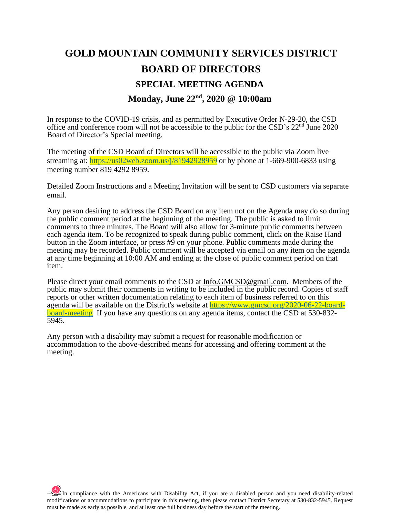# **GOLD MOUNTAIN COMMUNITY SERVICES DISTRICT BOARD OF DIRECTORS SPECIAL MEETING AGENDA Monday, June 22nd, 2020 @ 10:00am**

In response to the COVID-19 crisis, and as permitted by Executive Order N-29-20, the CSD office and conference room will not be accessible to the public for the CSD's 22nd June 2020 Board of Director's Special meeting.

The meeting of the CSD Board of Directors will be accessible to the public via Zoom live streaming at:<https://us02web.zoom.us/j/81942928959> or by phone at 1-669-900-6833 using meeting number 819 4292 8959.

Detailed Zoom Instructions and a Meeting Invitation will be sent to CSD customers via separate email.

Any person desiring to address the CSD Board on any item not on the Agenda may do so during the public comment period at the beginning of the meeting. The public is asked to limit comments to three minutes. The Board will also allow for 3-minute public comments between each agenda item. To be recognized to speak during public comment, click on the Raise Hand button in the Zoom interface, or press #9 on your phone. Public comments made during the meeting may be recorded. Public comment will be accepted via email on any item on the agenda at any time beginning at 10:00 AM and ending at the close of public comment period on that item.

Please direct your email comments to the CSD at [Info.GMCSD@gmail.com.](mailto:Info.GMCSD@gmail.com) Members of the public may submit their comments in writing to be included in the public record. Copies of staff reports or other written documentation relating to each item of business referred to on this agenda will be available on the District's website at [https://www.gmcsd.org/2020-06-22-board](https://www.gmcsd.org/2020-06-22-board-board-meeting)[board-meeting](https://www.gmcsd.org/2020-06-22-board-board-meeting) If you have any questions on any agenda items, contact the CSD at 530-832- 5945.

Any person with a disability may submit a request for reasonable modification or accommodation to the above-described means for accessing and offering comment at the meeting.

 $\frac{1}{2}$ In compliance with the Americans with Disability Act, if you are a disabled person and you need disability-related modifications or accommodations to participate in this meeting, then please contact District Secretary at 530-832-5945. Request must be made as early as possible, and at least one full business day before the start of the meeting.